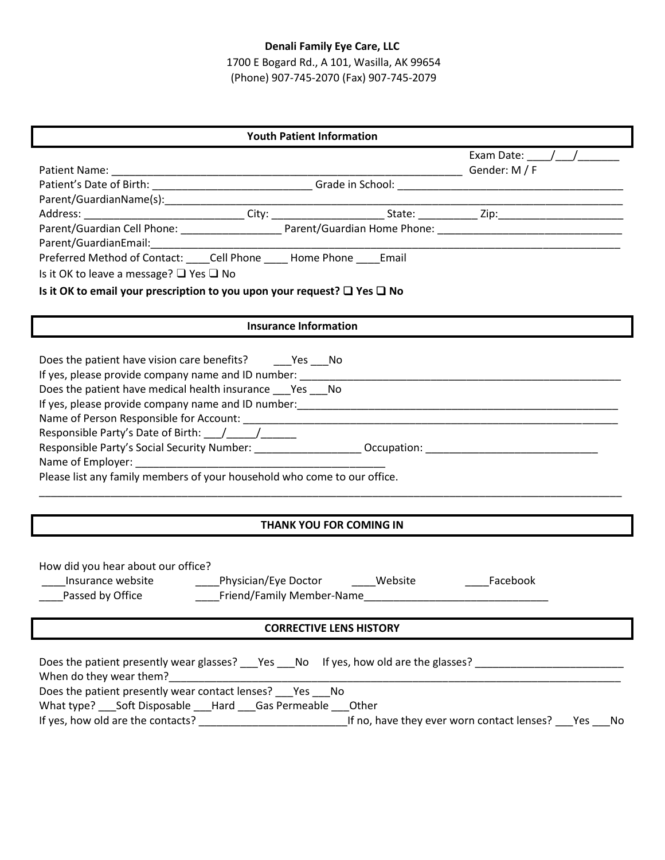# **Denali Family Eye Care, LLC**

1700 E Bogard Rd., A 101, Wasilla, AK 99654 (Phone) 907-745-2070 (Fax) 907-745-2079

| <b>Youth Patient Information</b>                                                                                                                                                                                                                                                    |                                                   |  |  |  |  |  |  |
|-------------------------------------------------------------------------------------------------------------------------------------------------------------------------------------------------------------------------------------------------------------------------------------|---------------------------------------------------|--|--|--|--|--|--|
|                                                                                                                                                                                                                                                                                     | Exam Date: $\frac{1}{2}$ / /                      |  |  |  |  |  |  |
|                                                                                                                                                                                                                                                                                     |                                                   |  |  |  |  |  |  |
|                                                                                                                                                                                                                                                                                     |                                                   |  |  |  |  |  |  |
|                                                                                                                                                                                                                                                                                     |                                                   |  |  |  |  |  |  |
|                                                                                                                                                                                                                                                                                     |                                                   |  |  |  |  |  |  |
|                                                                                                                                                                                                                                                                                     |                                                   |  |  |  |  |  |  |
|                                                                                                                                                                                                                                                                                     |                                                   |  |  |  |  |  |  |
| Is it OK to leave a message? □ Yes □ No                                                                                                                                                                                                                                             |                                                   |  |  |  |  |  |  |
| Is it OK to email your prescription to you upon your request? $\square$ Yes $\square$ No                                                                                                                                                                                            |                                                   |  |  |  |  |  |  |
| <b>Insurance Information</b>                                                                                                                                                                                                                                                        |                                                   |  |  |  |  |  |  |
| Does the patient have vision care benefits? _______ Yes ____ No<br>Does the patient have medical health insurance ___ Yes ___ No<br>Please list any family members of your household who come to our office.                                                                        |                                                   |  |  |  |  |  |  |
| THANK YOU FOR COMING IN                                                                                                                                                                                                                                                             |                                                   |  |  |  |  |  |  |
| How did you hear about our office?<br>Passed by Office                                                                                                                                                                                                                              | Facebook                                          |  |  |  |  |  |  |
| <b>CORRECTIVE LENS HISTORY</b>                                                                                                                                                                                                                                                      |                                                   |  |  |  |  |  |  |
| Does the patient presently wear glasses? Figures Theory of Mess, how old are the glasses? Theory Mess Theory Me<br>When do they wear them?<br>Does the patient presently wear contact lenses? ___ Yes ___ No<br>What type? ___ Soft Disposable ___ Hard ___ Gas Permeable ___ Other | If no, have they ever worn contact lenses? Pes No |  |  |  |  |  |  |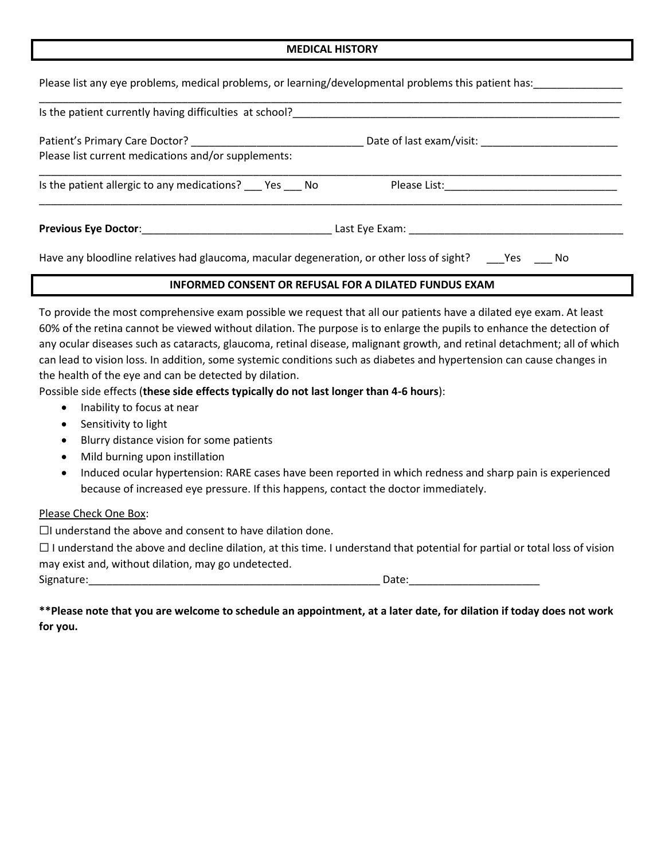#### **MEDICAL HISTORY**

|  |  | Please list any eye problems, medical problems, or learning/developmental problems this patient has: |  |  |
|--|--|------------------------------------------------------------------------------------------------------|--|--|
|  |  |                                                                                                      |  |  |

| Is the patient currently having difficulties at school?                                                       |  |  |  |  |  |  |  |
|---------------------------------------------------------------------------------------------------------------|--|--|--|--|--|--|--|
| Please list current medications and/or supplements:                                                           |  |  |  |  |  |  |  |
| Is the patient allergic to any medications? ___ Yes ___ No                                                    |  |  |  |  |  |  |  |
|                                                                                                               |  |  |  |  |  |  |  |
| Have any bloodline relatives had glaucoma, macular degeneration, or other loss of sight? ______Yes _______ No |  |  |  |  |  |  |  |

#### **INFORMED CONSENT OR REFUSAL FOR A DILATED FUNDUS EXAM**

To provide the most comprehensive exam possible we request that all our patients have a dilated eye exam. At least 60% of the retina cannot be viewed without dilation. The purpose is to enlarge the pupils to enhance the detection of any ocular diseases such as cataracts, glaucoma, retinal disease, malignant growth, and retinal detachment; all of which can lead to vision loss. In addition, some systemic conditions such as diabetes and hypertension can cause changes in the health of the eye and can be detected by dilation.

Possible side effects (**these side effects typically do not last longer than 4-6 hours**):

- Inability to focus at near
- Sensitivity to light
- Blurry distance vision for some patients
- Mild burning upon instillation
- Induced ocular hypertension: RARE cases have been reported in which redness and sharp pain is experienced because of increased eye pressure. If this happens, contact the doctor immediately.

#### Please Check One Box:

 $\Box$ I understand the above and consent to have dilation done.

 $\Box$  I understand the above and decline dilation, at this time. I understand that potential for partial or total loss of vision may exist and, without dilation, may go undetected.

Signature: etc. All the state of the state of the state of the state of the Date:

**\*\*Please note that you are welcome to schedule an appointment, at a later date, for dilation if today does not work for you.**